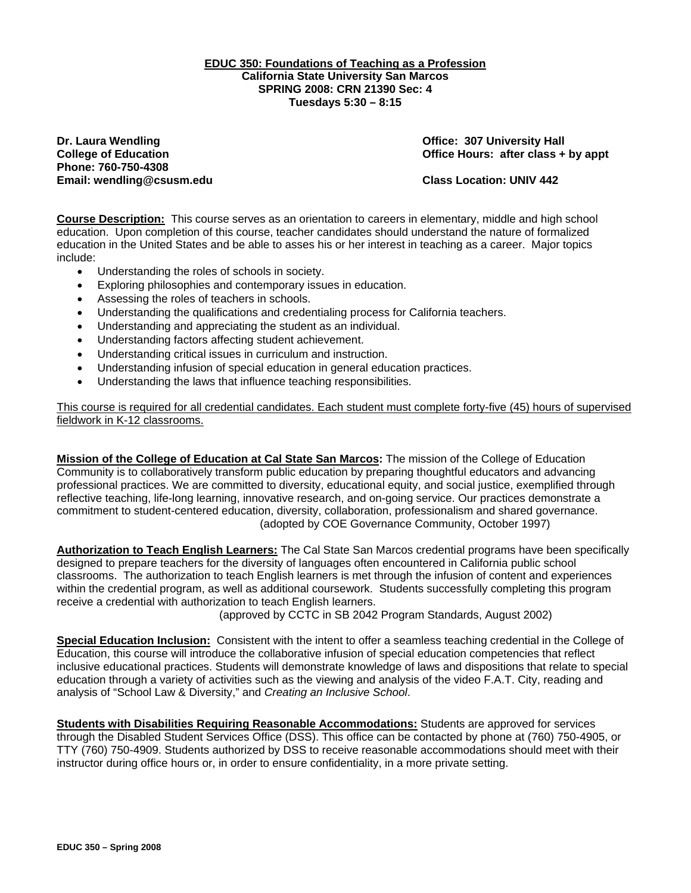### **EDUC 350: Foundations of Teaching as a Profession California State University San Marcos SPRING 2008: CRN 21390 Sec: 4 Tuesdays 5:30 – 8:15**

**Dr. Laura Wendling Community Community Community Community Community Community Community Community Community Community Community Community Community Community Community Community Community Community Community Community Co Phone: 760-750-4308 Email: wendling@csusm.edu Class Location: UNIV 442** 

**College of Education College of Education College Act College of Education College Act Class + by appt** 

**Course Description:** This course serves as an orientation to careers in elementary, middle and high school education. Upon completion of this course, teacher candidates should understand the nature of formalized education in the United States and be able to asses his or her interest in teaching as a career. Major topics include:

- Understanding the roles of schools in society.
- Exploring philosophies and contemporary issues in education.
- Assessing the roles of teachers in schools.
- Understanding the qualifications and credentialing process for California teachers.
- Understanding and appreciating the student as an individual.
- Understanding factors affecting student achievement.
- Understanding critical issues in curriculum and instruction.
- Understanding infusion of special education in general education practices.
- Understanding the laws that influence teaching responsibilities.

This course is required for all credential candidates. Each student must complete forty-five (45) hours of supervised fieldwork in K-12 classrooms.

**Mission of the College of Education at Cal State San Marcos:** The mission of the College of Education Community is to collaboratively transform public education by preparing thoughtful educators and advancing professional practices. We are committed to diversity, educational equity, and social justice, exemplified through reflective teaching, life-long learning, innovative research, and on-going service. Our practices demonstrate a commitment to student-centered education, diversity, collaboration, professionalism and shared governance. (adopted by COE Governance Community, October 1997)

**Authorization to Teach English Learners:** The Cal State San Marcos credential programs have been specifically designed to prepare teachers for the diversity of languages often encountered in California public school classrooms. The authorization to teach English learners is met through the infusion of content and experiences within the credential program, as well as additional coursework. Students successfully completing this program receive a credential with authorization to teach English learners.

(approved by CCTC in SB 2042 Program Standards, August 2002)

**Special Education Inclusion:** Consistent with the intent to offer a seamless teaching credential in the College of Education, this course will introduce the collaborative infusion of special education competencies that reflect inclusive educational practices. Students will demonstrate knowledge of laws and dispositions that relate to special education through a variety of activities such as the viewing and analysis of the video F.A.T. City, reading and analysis of "School Law & Diversity," and *Creating an Inclusive School*.

**Students with Disabilities Requiring Reasonable Accommodations:** Students are approved for services through the Disabled Student Services Office (DSS). This office can be contacted by phone at (760) 750-4905, or TTY (760) 750-4909. Students authorized by DSS to receive reasonable accommodations should meet with their instructor during office hours or, in order to ensure confidentiality, in a more private setting.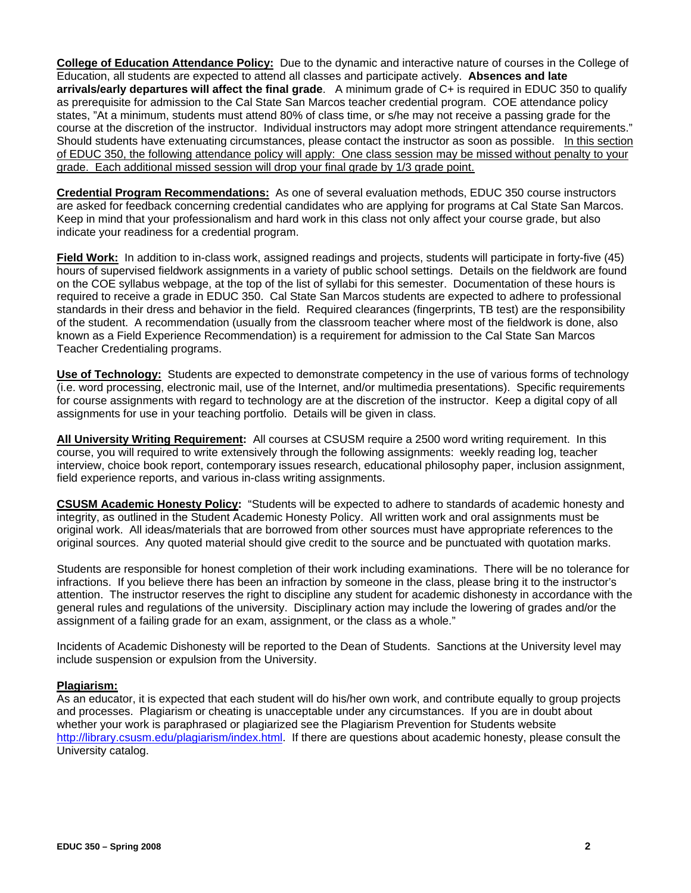**College of Education Attendance Policy:** Due to the dynamic and interactive nature of courses in the College of Education, all students are expected to attend all classes and participate actively. **Absences and late arrivals/early departures will affect the final grade**. A minimum grade of C+ is required in EDUC 350 to qualify as prerequisite for admission to the Cal State San Marcos teacher credential program. COE attendance policy states, "At a minimum, students must attend 80% of class time, or s/he may not receive a passing grade for the course at the discretion of the instructor. Individual instructors may adopt more stringent attendance requirements." Should students have extenuating circumstances, please contact the instructor as soon as possible. In this section of EDUC 350, the following attendance policy will apply: One class session may be missed without penalty to your grade. Each additional missed session will drop your final grade by 1/3 grade point.

**Credential Program Recommendations:** As one of several evaluation methods, EDUC 350 course instructors are asked for feedback concerning credential candidates who are applying for programs at Cal State San Marcos. Keep in mind that your professionalism and hard work in this class not only affect your course grade, but also indicate your readiness for a credential program.

**Field Work:** In addition to in-class work, assigned readings and projects, students will participate in forty-five (45) hours of supervised fieldwork assignments in a variety of public school settings. Details on the fieldwork are found on the COE syllabus webpage, at the top of the list of syllabi for this semester. Documentation of these hours is required to receive a grade in EDUC 350. Cal State San Marcos students are expected to adhere to professional standards in their dress and behavior in the field. Required clearances (fingerprints, TB test) are the responsibility of the student. A recommendation (usually from the classroom teacher where most of the fieldwork is done, also known as a Field Experience Recommendation) is a requirement for admission to the Cal State San Marcos Teacher Credentialing programs.

**Use of Technology:** Students are expected to demonstrate competency in the use of various forms of technology (i.e. word processing, electronic mail, use of the Internet, and/or multimedia presentations). Specific requirements for course assignments with regard to technology are at the discretion of the instructor. Keep a digital copy of all assignments for use in your teaching portfolio. Details will be given in class.

**All University Writing Requirement:** All courses at CSUSM require a 2500 word writing requirement. In this course, you will required to write extensively through the following assignments: weekly reading log, teacher interview, choice book report, contemporary issues research, educational philosophy paper, inclusion assignment, field experience reports, and various in-class writing assignments.

**CSUSM Academic Honesty Policy:** "Students will be expected to adhere to standards of academic honesty and integrity, as outlined in the Student Academic Honesty Policy. All written work and oral assignments must be original work. All ideas/materials that are borrowed from other sources must have appropriate references to the original sources. Any quoted material should give credit to the source and be punctuated with quotation marks.

Students are responsible for honest completion of their work including examinations. There will be no tolerance for infractions. If you believe there has been an infraction by someone in the class, please bring it to the instructor's attention. The instructor reserves the right to discipline any student for academic dishonesty in accordance with the general rules and regulations of the university. Disciplinary action may include the lowering of grades and/or the assignment of a failing grade for an exam, assignment, or the class as a whole."

Incidents of Academic Dishonesty will be reported to the Dean of Students. Sanctions at the University level may include suspension or expulsion from the University.

## **Plagiarism:**

As an educator, it is expected that each student will do his/her own work, and contribute equally to group projects and processes. Plagiarism or cheating is unacceptable under any circumstances. If you are in doubt about whether your work is paraphrased or plagiarized see the Plagiarism Prevention for Students website http://library.csusm.edu/plagiarism/index.html. If there are questions about academic honesty, please consult the University catalog.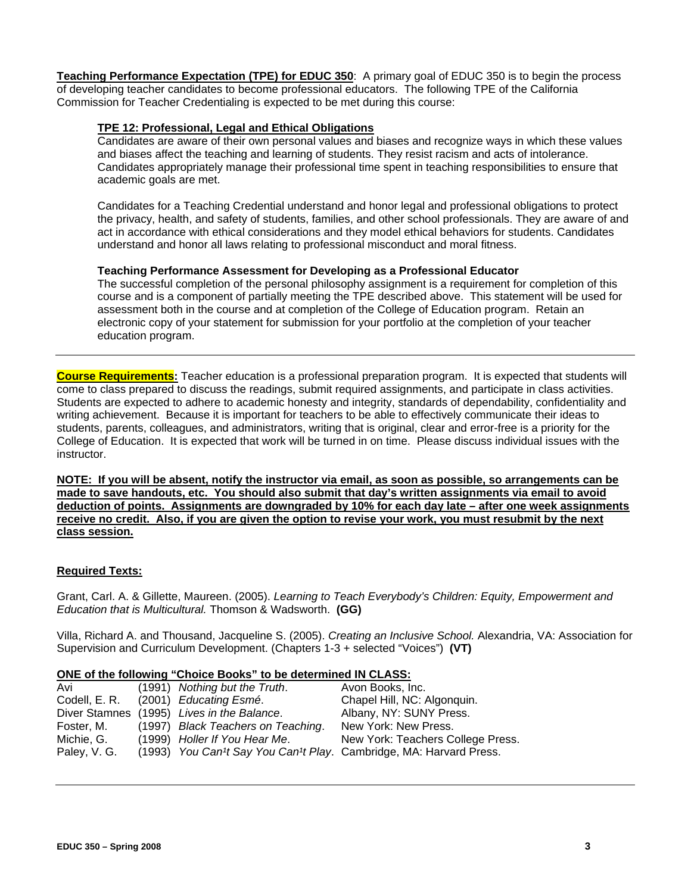**Teaching Performance Expectation (TPE) for EDUC 350**: A primary goal of EDUC 350 is to begin the process of developing teacher candidates to become professional educators. The following TPE of the California Commission for Teacher Credentialing is expected to be met during this course:

### **TPE 12: Professional, Legal and Ethical Obligations**

Candidates are aware of their own personal values and biases and recognize ways in which these values and biases affect the teaching and learning of students. They resist racism and acts of intolerance. Candidates appropriately manage their professional time spent in teaching responsibilities to ensure that academic goals are met.

Candidates for a Teaching Credential understand and honor legal and professional obligations to protect the privacy, health, and safety of students, families, and other school professionals. They are aware of and act in accordance with ethical considerations and they model ethical behaviors for students. Candidates understand and honor all laws relating to professional misconduct and moral fitness.

### **Teaching Performance Assessment for Developing as a Professional Educator**

The successful completion of the personal philosophy assignment is a requirement for completion of this course and is a component of partially meeting the TPE described above. This statement will be used for assessment both in the course and at completion of the College of Education program. Retain an electronic copy of your statement for submission for your portfolio at the completion of your teacher education program.

**Course Requirements:** Teacher education is a professional preparation program. It is expected that students will come to class prepared to discuss the readings, submit required assignments, and participate in class activities. Students are expected to adhere to academic honesty and integrity, standards of dependability, confidentiality and writing achievement. Because it is important for teachers to be able to effectively communicate their ideas to students, parents, colleagues, and administrators, writing that is original, clear and error-free is a priority for the College of Education. It is expected that work will be turned in on time. Please discuss individual issues with the instructor.

**NOTE: If you will be absent, notify the instructor via email, as soon as possible, so arrangements can be made to save handouts, etc. You should also submit that day's written assignments via email to avoid deduction of points. Assignments are downgraded by 10% for each day late – after one week assignments receive no credit. Also, if you are given the option to revise your work, you must resubmit by the next class session.**

### **Required Texts:**

Grant, Carl. A. & Gillette, Maureen. (2005). *Learning to Teach Everybody's Children: Equity, Empowerment and Education that is Multicultural.* Thomson & Wadsworth. **(GG)** 

Villa, Richard A. and Thousand, Jacqueline S. (2005). *Creating an Inclusive School.* Alexandria, VA: Association for Supervision and Curriculum Development. (Chapters 1-3 + selected "Voices") **(VT)**

### **ONE of the following "Choice Books" to be determined IN CLASS:**

| Avi          | (1991) Nothing but the Truth.              | Avon Books, Inc.                                                   |
|--------------|--------------------------------------------|--------------------------------------------------------------------|
|              | Codell, E. R. (2001) Educating Esmé.       | Chapel Hill, NC: Algonquin.                                        |
|              | Diver Stamnes (1995) Lives in the Balance. | Albany, NY: SUNY Press.                                            |
| Foster, M.   | (1997) Black Teachers on Teaching.         | New York: New Press.                                               |
| Michie, G.   | (1999) Holler If You Hear Me.              | New York: Teachers College Press.                                  |
| Paley, V. G. |                                            | (1993) You Can't Say You Can't Play. Cambridge, MA: Harvard Press. |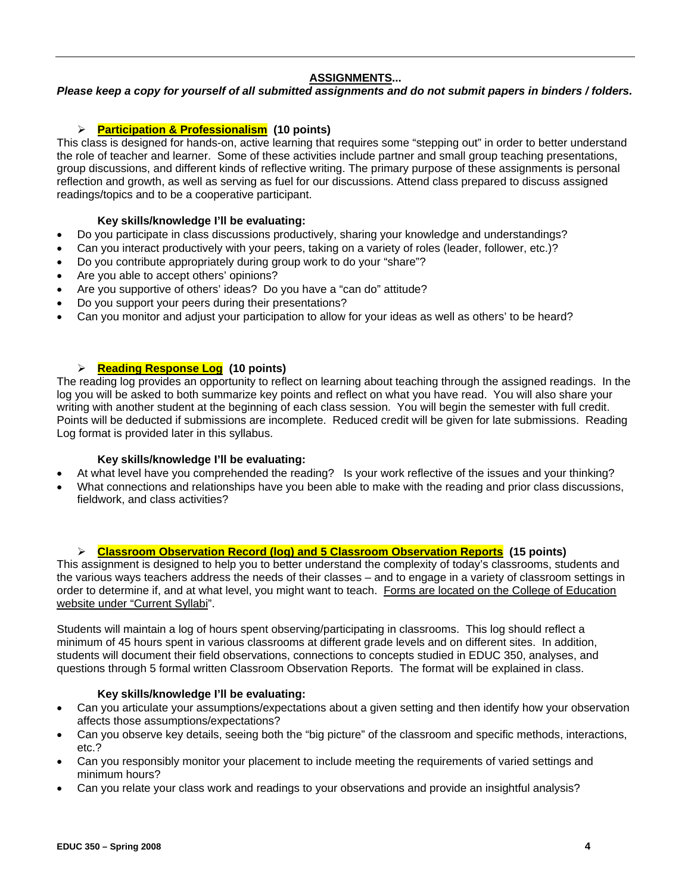## **ASSIGNMENTS...**

*Please keep a copy for yourself of all submitted assignments and do not submit papers in binders / folders.* 

## ¾ **Participation & Professionalism (10 points)**

This class is designed for hands-on, active learning that requires some "stepping out" in order to better understand the role of teacher and learner. Some of these activities include partner and small group teaching presentations, group discussions, and different kinds of reflective writing. The primary purpose of these assignments is personal reflection and growth, as well as serving as fuel for our discussions. Attend class prepared to discuss assigned readings/topics and to be a cooperative participant.

### **Key skills/knowledge I'll be evaluating:**

- Do you participate in class discussions productively, sharing your knowledge and understandings?
- Can you interact productively with your peers, taking on a variety of roles (leader, follower, etc.)?
- Do you contribute appropriately during group work to do your "share"?
- Are you able to accept others' opinions?
- Are you supportive of others' ideas? Do you have a "can do" attitude?
- Do you support your peers during their presentations?
- Can you monitor and adjust your participation to allow for your ideas as well as others' to be heard?

### ¾ **Reading Response Log (10 points)**

The reading log provides an opportunity to reflect on learning about teaching through the assigned readings. In the log you will be asked to both summarize key points and reflect on what you have read. You will also share your writing with another student at the beginning of each class session. You will begin the semester with full credit. Points will be deducted if submissions are incomplete. Reduced credit will be given for late submissions. Reading Log format is provided later in this syllabus.

## **Key skills/knowledge I'll be evaluating:**

- At what level have you comprehended the reading? Is your work reflective of the issues and your thinking?
- What connections and relationships have you been able to make with the reading and prior class discussions, fieldwork, and class activities?

### ¾ **Classroom Observation Record (log) and 5 Classroom Observation Reports (15 points)**

This assignment is designed to help you to better understand the complexity of today's classrooms, students and the various ways teachers address the needs of their classes – and to engage in a variety of classroom settings in order to determine if, and at what level, you might want to teach. Forms are located on the College of Education website under "Current Syllabi".

Students will maintain a log of hours spent observing/participating in classrooms. This log should reflect a minimum of 45 hours spent in various classrooms at different grade levels and on different sites. In addition, students will document their field observations, connections to concepts studied in EDUC 350, analyses, and questions through 5 formal written Classroom Observation Reports. The format will be explained in class.

### **Key skills/knowledge I'll be evaluating:**

- Can you articulate your assumptions/expectations about a given setting and then identify how your observation affects those assumptions/expectations?
- Can you observe key details, seeing both the "big picture" of the classroom and specific methods, interactions, etc.?
- Can you responsibly monitor your placement to include meeting the requirements of varied settings and minimum hours?
- Can you relate your class work and readings to your observations and provide an insightful analysis?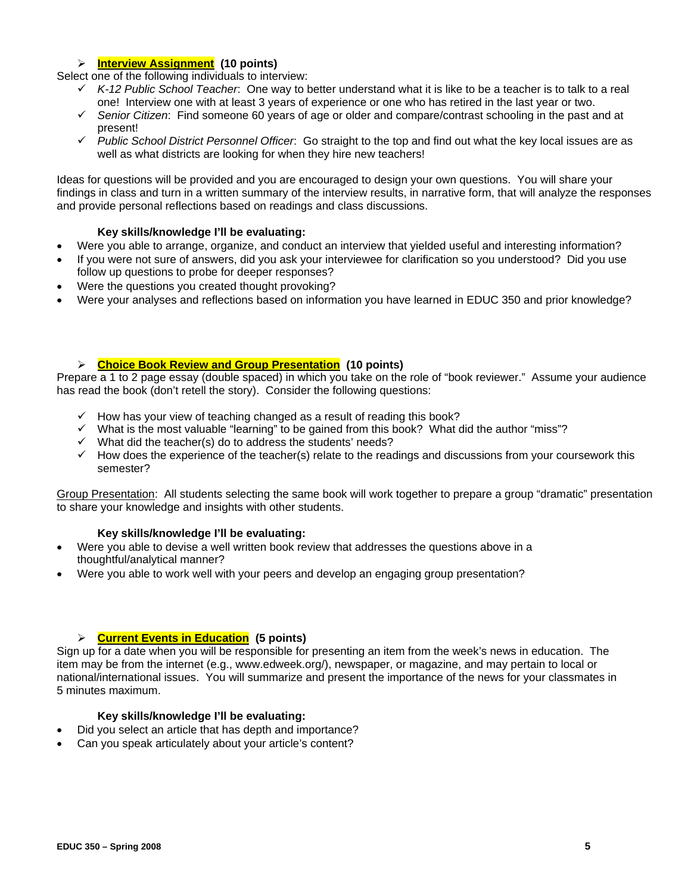### ¾ **Interview Assignment (10 points)**

Select one of the following individuals to interview:

- 9 *K-12 Public School Teacher*: One way to better understand what it is like to be a teacher is to talk to a real one! Interview one with at least 3 years of experience or one who has retired in the last year or two.
- 9 *Senior Citizen*: Find someone 60 years of age or older and compare/contrast schooling in the past and at present!
- 9 *Public School District Personnel Officer*: Go straight to the top and find out what the key local issues are as well as what districts are looking for when they hire new teachers!

Ideas for questions will be provided and you are encouraged to design your own questions. You will share your findings in class and turn in a written summary of the interview results, in narrative form, that will analyze the responses and provide personal reflections based on readings and class discussions.

### **Key skills/knowledge I'll be evaluating:**

- Were you able to arrange, organize, and conduct an interview that yielded useful and interesting information?
- If you were not sure of answers, did you ask your interviewee for clarification so you understood? Did you use follow up questions to probe for deeper responses?
- Were the questions you created thought provoking?
- Were your analyses and reflections based on information you have learned in EDUC 350 and prior knowledge?

### ¾ **Choice Book Review and Group Presentation (10 points)**

Prepare a 1 to 2 page essay (double spaced) in which you take on the role of "book reviewer." Assume your audience has read the book (don't retell the story). Consider the following questions:

- $\checkmark$  How has your view of teaching changed as a result of reading this book?
- $\checkmark$  What is the most valuable "learning" to be gained from this book? What did the author "miss"?
- $\checkmark$  What did the teacher(s) do to address the students' needs?
- $\checkmark$  How does the experience of the teacher(s) relate to the readings and discussions from your coursework this semester?

Group Presentation: All students selecting the same book will work together to prepare a group "dramatic" presentation to share your knowledge and insights with other students.

### **Key skills/knowledge I'll be evaluating:**

- Were you able to devise a well written book review that addresses the questions above in a thoughtful/analytical manner?
- Were you able to work well with your peers and develop an engaging group presentation?

## ¾ **Current Events in Education (5 points)**

Sign up for a date when you will be responsible for presenting an item from the week's news in education. The item may be from the internet (e.g., www.edweek.org/), newspaper, or magazine, and may pertain to local or national/international issues. You will summarize and present the importance of the news for your classmates in 5 minutes maximum.

#### **Key skills/knowledge I'll be evaluating:**

- Did you select an article that has depth and importance?
- Can you speak articulately about your article's content?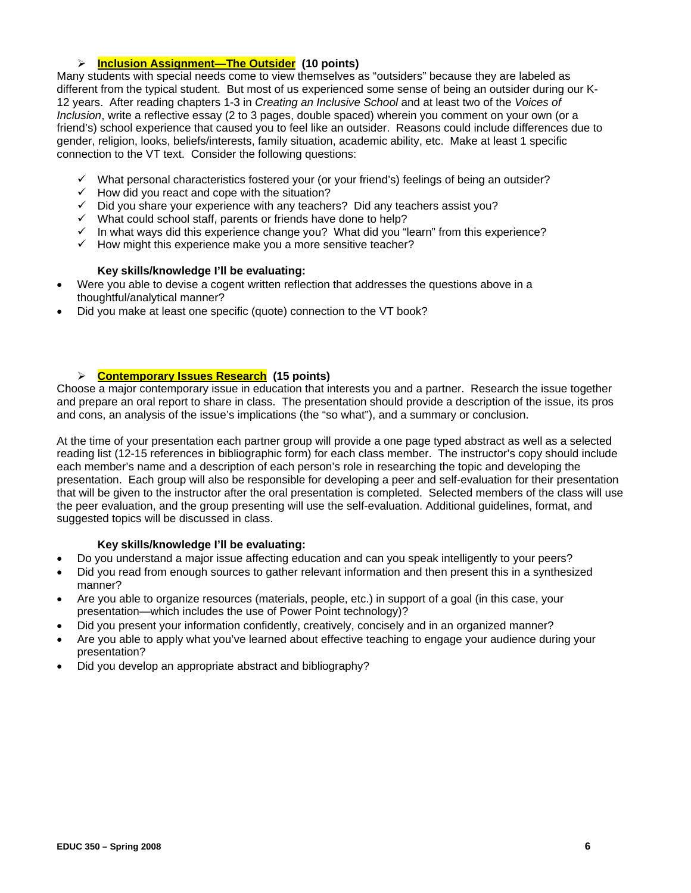### ¾ **Inclusion Assignment—The Outsider (10 points)**

Many students with special needs come to view themselves as "outsiders" because they are labeled as different from the typical student. But most of us experienced some sense of being an outsider during our K-12 years. After reading chapters 1-3 in *Creating an Inclusive School* and at least two of the *Voices of Inclusion*, write a reflective essay (2 to 3 pages, double spaced) wherein you comment on your own (or a friend's) school experience that caused you to feel like an outsider. Reasons could include differences due to gender, religion, looks, beliefs/interests, family situation, academic ability, etc. Make at least 1 specific connection to the VT text. Consider the following questions:

- $\checkmark$  What personal characteristics fostered your (or your friend's) feelings of being an outsider?
- $\checkmark$  How did you react and cope with the situation?
- $\checkmark$  Did you share your experience with any teachers? Did any teachers assist you?
- $\checkmark$  What could school staff, parents or friends have done to help?
- $\checkmark$  In what ways did this experience change you? What did you "learn" from this experience?
- $\checkmark$  How might this experience make you a more sensitive teacher?

### **Key skills/knowledge I'll be evaluating:**

- Were you able to devise a cogent written reflection that addresses the questions above in a thoughtful/analytical manner?
- Did you make at least one specific (quote) connection to the VT book?

### ¾ **Contemporary Issues Research (15 points)**

Choose a major contemporary issue in education that interests you and a partner. Research the issue together and prepare an oral report to share in class. The presentation should provide a description of the issue, its pros and cons, an analysis of the issue's implications (the "so what"), and a summary or conclusion.

At the time of your presentation each partner group will provide a one page typed abstract as well as a selected reading list (12-15 references in bibliographic form) for each class member. The instructor's copy should include each member's name and a description of each person's role in researching the topic and developing the presentation. Each group will also be responsible for developing a peer and self-evaluation for their presentation that will be given to the instructor after the oral presentation is completed. Selected members of the class will use the peer evaluation, and the group presenting will use the self-evaluation. Additional guidelines, format, and suggested topics will be discussed in class.

### **Key skills/knowledge I'll be evaluating:**

- Do you understand a major issue affecting education and can you speak intelligently to your peers?
- Did you read from enough sources to gather relevant information and then present this in a synthesized manner?
- Are you able to organize resources (materials, people, etc.) in support of a goal (in this case, your presentation—which includes the use of Power Point technology)?
- Did you present your information confidently, creatively, concisely and in an organized manner?
- Are you able to apply what you've learned about effective teaching to engage your audience during your presentation?
- Did you develop an appropriate abstract and bibliography?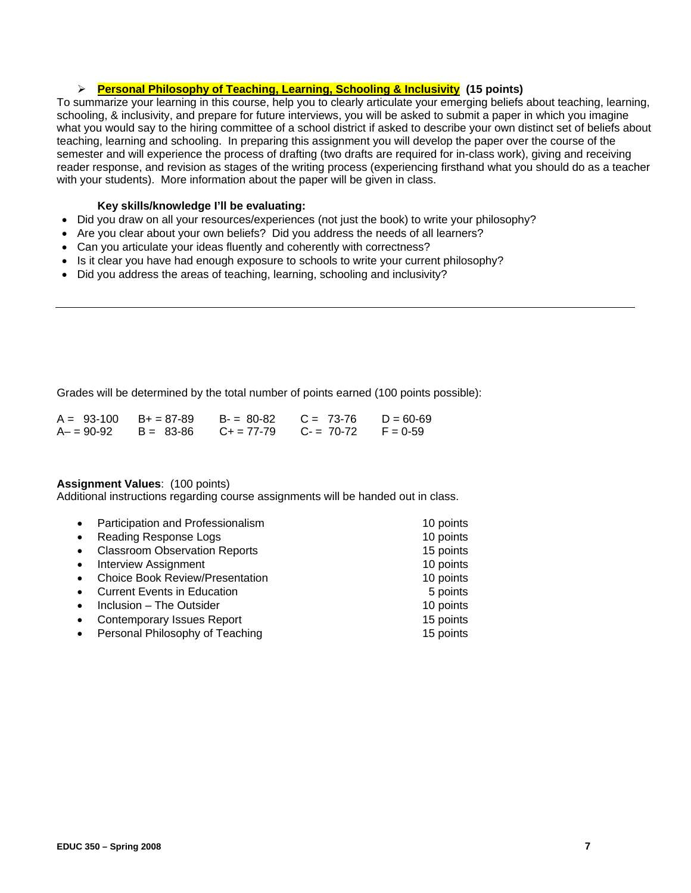### ¾ **Personal Philosophy of Teaching, Learning, Schooling & Inclusivity (15 points)**

To summarize your learning in this course, help you to clearly articulate your emerging beliefs about teaching, learning, schooling, & inclusivity, and prepare for future interviews, you will be asked to submit a paper in which you imagine what you would say to the hiring committee of a school district if asked to describe your own distinct set of beliefs about teaching, learning and schooling. In preparing this assignment you will develop the paper over the course of the semester and will experience the process of drafting (two drafts are required for in-class work), giving and receiving reader response, and revision as stages of the writing process (experiencing firsthand what you should do as a teacher with your students). More information about the paper will be given in class.

### **Key skills/knowledge I'll be evaluating:**

- Did you draw on all your resources/experiences (not just the book) to write your philosophy?
- Are you clear about your own beliefs? Did you address the needs of all learners?
- Can you articulate your ideas fluently and coherently with correctness?
- Is it clear you have had enough exposure to schools to write your current philosophy?
- Did you address the areas of teaching, learning, schooling and inclusivity?

Grades will be determined by the total number of points earned (100 points possible):

|  | $A = 93-100$ B+ = 87-89 B- = 80-82 C = 73-76 D = 60-69  |  |
|--|---------------------------------------------------------|--|
|  | $A- = 90-92$ B = 83-86 C + = 77-79 C - = 70-72 F = 0-59 |  |

## **Assignment Values**: (100 points)

Additional instructions regarding course assignments will be handed out in class.

| Participation and Professionalism      | 10 points |
|----------------------------------------|-----------|
| Reading Response Logs                  | 10 points |
| <b>Classroom Observation Reports</b>   | 15 points |
| <b>Interview Assignment</b>            | 10 points |
| <b>Choice Book Review/Presentation</b> | 10 points |
| <b>Current Events in Education</b>     | 5 points  |
| Inclusion - The Outsider               | 10 points |
| <b>Contemporary Issues Report</b>      | 15 points |
| Personal Philosophy of Teaching        | 15 points |
|                                        |           |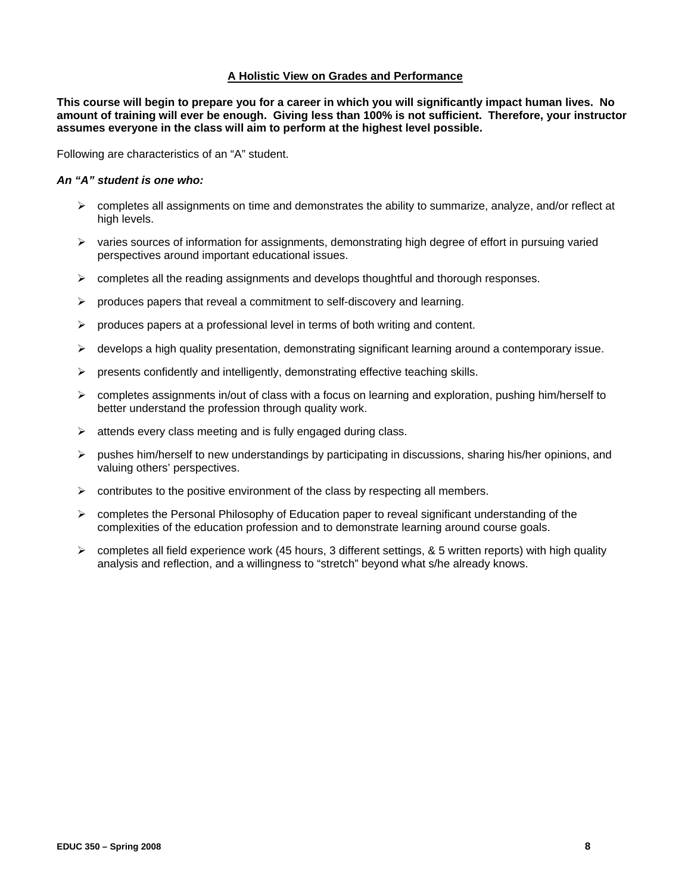#### **A Holistic View on Grades and Performance**

**This course will begin to prepare you for a career in which you will significantly impact human lives. No amount of training will ever be enough. Giving less than 100% is not sufficient. Therefore, your instructor assumes everyone in the class will aim to perform at the highest level possible.** 

Following are characteristics of an "A" student.

### *An "A" student is one who:*

- $\triangleright$  completes all assignments on time and demonstrates the ability to summarize, analyze, and/or reflect at high levels.
- $\triangleright$  varies sources of information for assignments, demonstrating high degree of effort in pursuing varied perspectives around important educational issues.
- $\triangleright$  completes all the reading assignments and develops thoughtful and thorough responses.
- $\triangleright$  produces papers that reveal a commitment to self-discovery and learning.
- $\triangleright$  produces papers at a professional level in terms of both writing and content.
- $\triangleright$  develops a high quality presentation, demonstrating significant learning around a contemporary issue.
- $\triangleright$  presents confidently and intelligently, demonstrating effective teaching skills.
- $\triangleright$  completes assignments in/out of class with a focus on learning and exploration, pushing him/herself to better understand the profession through quality work.
- $\triangleright$  attends every class meeting and is fully engaged during class.
- $\triangleright$  pushes him/herself to new understandings by participating in discussions, sharing his/her opinions, and valuing others' perspectives.
- $\triangleright$  contributes to the positive environment of the class by respecting all members.
- $\triangleright$  completes the Personal Philosophy of Education paper to reveal significant understanding of the complexities of the education profession and to demonstrate learning around course goals.
- $\triangleright$  completes all field experience work (45 hours, 3 different settings, & 5 written reports) with high quality analysis and reflection, and a willingness to "stretch" beyond what s/he already knows.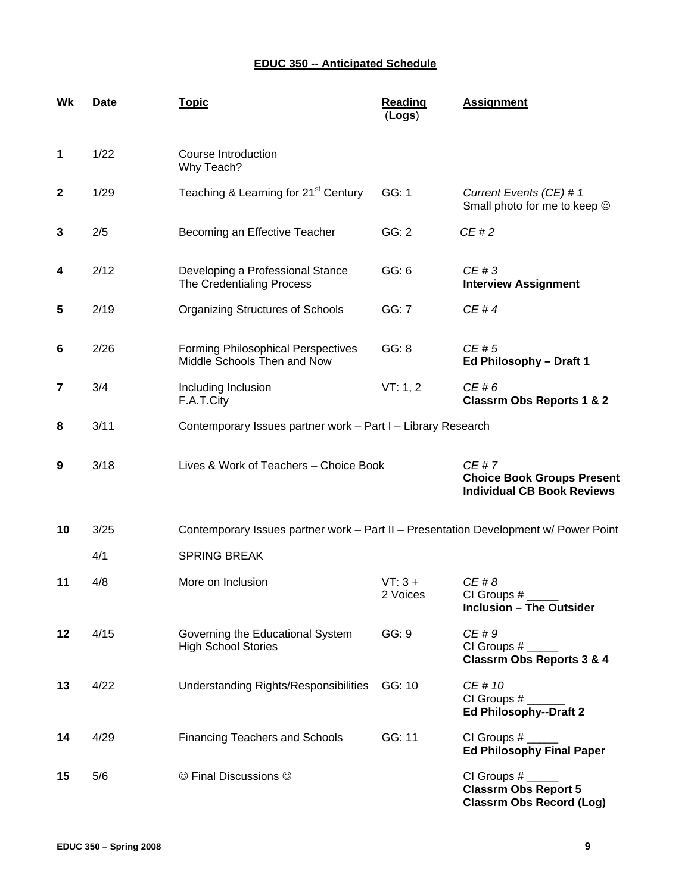# **EDUC 350 -- Anticipated Schedule**

| Wk           | <b>Date</b> | <b>Topic</b>                                                                         | <b>Reading</b><br>(Logs) | <b>Assignment</b>                                                              |
|--------------|-------------|--------------------------------------------------------------------------------------|--------------------------|--------------------------------------------------------------------------------|
| $\mathbf{1}$ | 1/22        | Course Introduction<br>Why Teach?                                                    |                          |                                                                                |
| $\mathbf{2}$ | 1/29        | Teaching & Learning for 21 <sup>st</sup> Century                                     | GG: 1                    | Current Events (CE) # 1<br>Small photo for me to keep $\odot$                  |
| 3            | 2/5         | Becoming an Effective Teacher                                                        | GG: 2                    | CE#2                                                                           |
| 4            | 2/12        | Developing a Professional Stance<br>The Credentialing Process                        | GG: 6                    | CE#3<br><b>Interview Assignment</b>                                            |
| 5            | 2/19        | <b>Organizing Structures of Schools</b>                                              | GG: 7                    | CE#4                                                                           |
| 6            | 2/26        | <b>Forming Philosophical Perspectives</b><br>Middle Schools Then and Now             | GG: 8                    | CE#5<br>Ed Philosophy - Draft 1                                                |
| 7            | 3/4         | Including Inclusion<br>F.A.T.City                                                    | VT: 1, 2                 | CE#6<br><b>Classrm Obs Reports 1 &amp; 2</b>                                   |
| 8            | 3/11        | Contemporary Issues partner work - Part I - Library Research                         |                          |                                                                                |
| 9            | 3/18        | Lives & Work of Teachers - Choice Book                                               |                          | CE#7<br><b>Choice Book Groups Present</b><br><b>Individual CB Book Reviews</b> |
| 10           | 3/25        | Contemporary Issues partner work - Part II - Presentation Development w/ Power Point |                          |                                                                                |
|              | 4/1         | <b>SPRING BREAK</b>                                                                  |                          |                                                                                |
| 11           | 4/8         | More on Inclusion                                                                    | $VT:3 +$<br>2 Voices     | CE#8<br>CI Groups #<br><b>Inclusion - The Outsider</b>                         |
| 12           | 4/15        | Governing the Educational System<br><b>High School Stories</b>                       | GG: 9                    | CE#9<br><b>Classrm Obs Reports 3 &amp; 4</b>                                   |
| 13           | 4/22        | Understanding Rights/Responsibilities                                                | GG: 10                   | CE # 10<br>CI Groups #<br>Ed Philosophy--Draft 2                               |
|              |             |                                                                                      |                          |                                                                                |
| 14           | 4/29        | <b>Financing Teachers and Schools</b>                                                | GG: 11                   | CI Groups #<br><b>Ed Philosophy Final Paper</b>                                |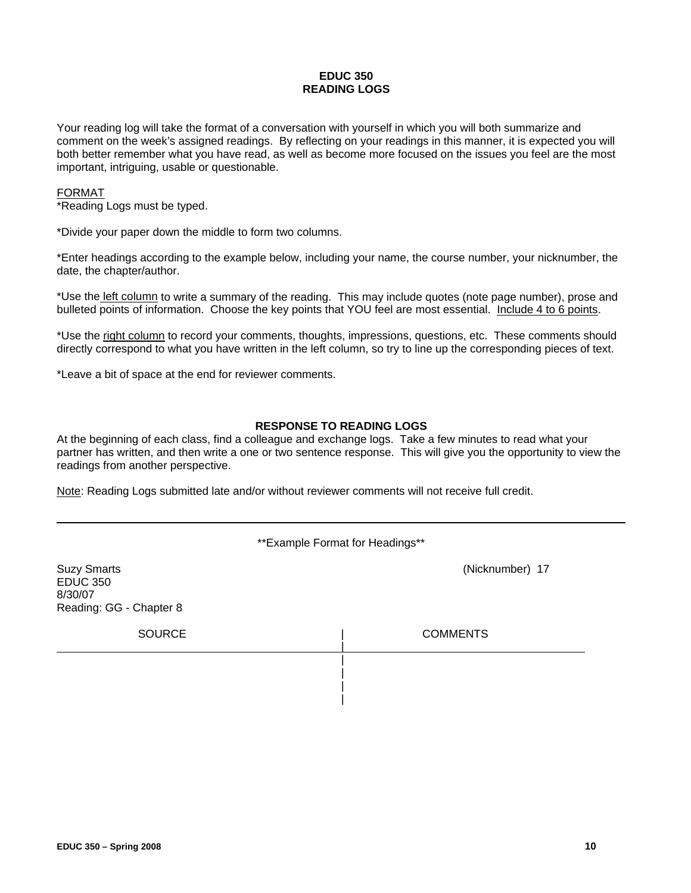#### **EDUC 350 READING LOGS**

Your reading log will take the format of a conversation with yourself in which you will both summarize and comment on the week's assigned readings. By reflecting on your readings in this manner, it is expected you will both better remember what you have read, as well as become more focused on the issues you feel are the most important, intriguing, usable or questionable.

#### FORMAT

\*Reading Logs must be typed.

\*Divide your paper down the middle to form two columns.

\*Enter headings according to the example below, including your name, the course number, your nicknumber, the date, the chapter/author.

\*Use the left column to write a summary of the reading. This may include quotes (note page number), prose and bulleted points of information. Choose the key points that YOU feel are most essential. Include 4 to 6 points.

\*Use the right column to record your comments, thoughts, impressions, questions, etc. These comments should directly correspond to what you have written in the left column, so try to line up the corresponding pieces of text.

\*Leave a bit of space at the end for reviewer comments.

### **RESPONSE TO READING LOGS**

At the beginning of each class, find a colleague and exchange logs. Take a few minutes to read what your partner has written, and then write a one or two sentence response. This will give you the opportunity to view the readings from another perspective.

Note: Reading Logs submitted late and/or without reviewer comments will not receive full credit.

\*\*Example Format for Headings\*\*

| <b>Suzy Smarts</b><br><b>EDUC 350</b><br>8/30/07<br>Reading: GG - Chapter 8 | (Nicknumber) 17 |
|-----------------------------------------------------------------------------|-----------------|
| <b>SOURCE</b>                                                               | <b>COMMENTS</b> |
|                                                                             |                 |
|                                                                             |                 |